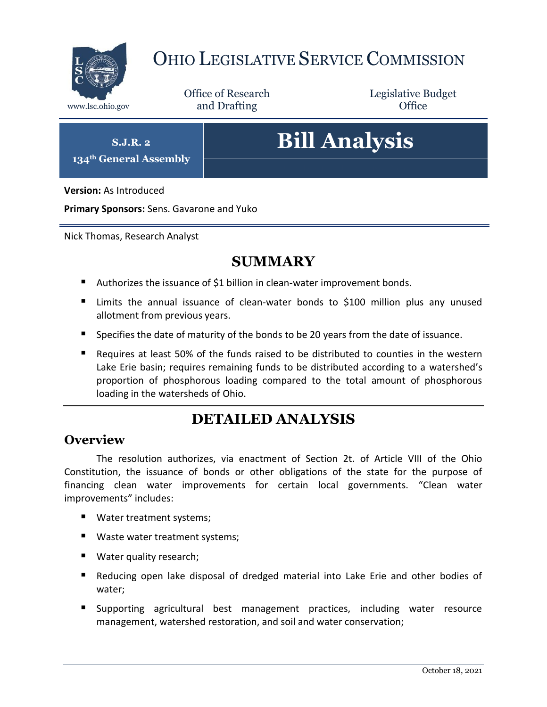

## OHIO LEGISLATIVE SERVICE COMMISSION

Office of Research www.lsc.ohio.gov **and Drafting Office** 

Legislative Budget

**S.J.R. 2**

**134th General Assembly**

# **Bill Analysis**

**Version:** As Introduced

**Primary Sponsors:** Sens. Gavarone and Yuko

Nick Thomas, Research Analyst

## **SUMMARY**

- Authorizes the issuance of \$1 billion in clean-water improvement bonds.
- **E** Limits the annual issuance of clean-water bonds to \$100 million plus any unused allotment from previous years.
- Specifies the date of maturity of the bonds to be 20 years from the date of issuance.
- Requires at least 50% of the funds raised to be distributed to counties in the western Lake Erie basin; requires remaining funds to be distributed according to a watershed's proportion of phosphorous loading compared to the total amount of phosphorous loading in the watersheds of Ohio.

## **DETAILED ANALYSIS**

#### **Overview**

The resolution authorizes, via enactment of Section 2t. of Article VIII of the Ohio Constitution, the issuance of bonds or other obligations of the state for the purpose of financing clean water improvements for certain local governments. "Clean water improvements" includes:

- Water treatment systems;
- Waste water treatment systems;
- Water quality research;
- Reducing open lake disposal of dredged material into Lake Erie and other bodies of water;
- **Supporting agricultural best management practices, including water resource** management, watershed restoration, and soil and water conservation;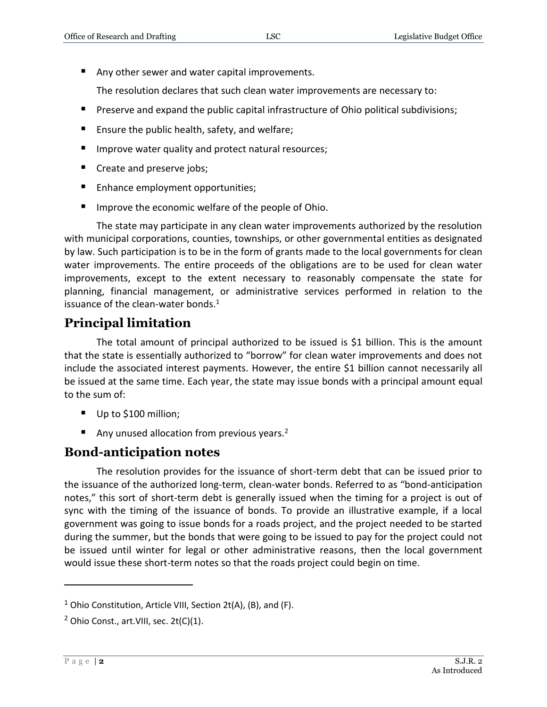Any other sewer and water capital improvements.

The resolution declares that such clean water improvements are necessary to:

- **Preserve and expand the public capital infrastructure of Ohio political subdivisions;**
- Ensure the public health, safety, and welfare;
- **IMPROVE WATER QUALITY AND PROTECT ATTAINATES** Improve water quality and protect natural resources;
- Create and preserve jobs;
- Enhance employment opportunities;
- **IF Improve the economic welfare of the people of Ohio.**

The state may participate in any clean water improvements authorized by the resolution with municipal corporations, counties, townships, or other governmental entities as designated by law. Such participation is to be in the form of grants made to the local governments for clean water improvements. The entire proceeds of the obligations are to be used for clean water improvements, except to the extent necessary to reasonably compensate the state for planning, financial management, or administrative services performed in relation to the issuance of the clean-water bonds. $<sup>1</sup>$ </sup>

## **Principal limitation**

The total amount of principal authorized to be issued is \$1 billion. This is the amount that the state is essentially authorized to "borrow" for clean water improvements and does not include the associated interest payments. However, the entire \$1 billion cannot necessarily all be issued at the same time. Each year, the state may issue bonds with a principal amount equal to the sum of:

- Up to \$100 million;
- Any unused allocation from previous years.<sup>2</sup>

#### **Bond-anticipation notes**

The resolution provides for the issuance of short-term debt that can be issued prior to the issuance of the authorized long-term, clean-water bonds. Referred to as "bond-anticipation notes," this sort of short-term debt is generally issued when the timing for a project is out of sync with the timing of the issuance of bonds. To provide an illustrative example, if a local government was going to issue bonds for a roads project, and the project needed to be started during the summer, but the bonds that were going to be issued to pay for the project could not be issued until winter for legal or other administrative reasons, then the local government would issue these short-term notes so that the roads project could begin on time.

 $\overline{a}$ 

<sup>&</sup>lt;sup>1</sup> Ohio Constitution, Article VIII, Section 2t(A), (B), and (F).

 $2$  Ohio Const., art. VIII, sec. 2t(C)(1).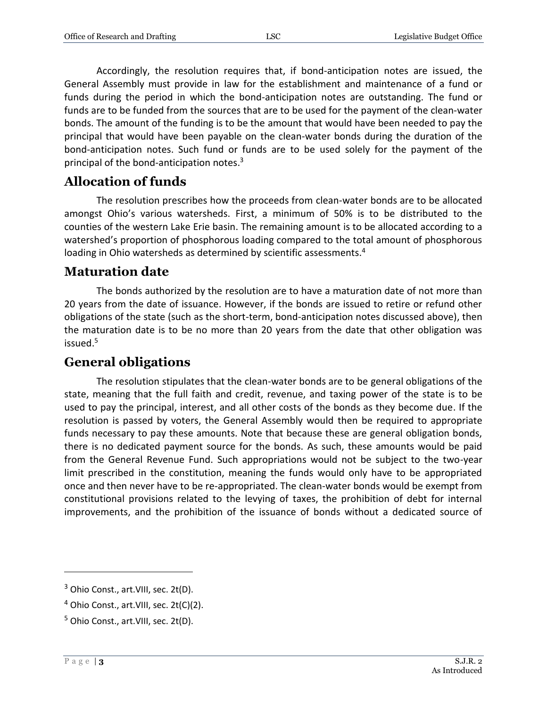Accordingly, the resolution requires that, if bond-anticipation notes are issued, the General Assembly must provide in law for the establishment and maintenance of a fund or funds during the period in which the bond-anticipation notes are outstanding. The fund or funds are to be funded from the sources that are to be used for the payment of the clean-water bonds. The amount of the funding is to be the amount that would have been needed to pay the principal that would have been payable on the clean-water bonds during the duration of the bond-anticipation notes. Such fund or funds are to be used solely for the payment of the principal of the bond-anticipation notes.<sup>3</sup>

#### **Allocation of funds**

The resolution prescribes how the proceeds from clean-water bonds are to be allocated amongst Ohio's various watersheds. First, a minimum of 50% is to be distributed to the counties of the western Lake Erie basin. The remaining amount is to be allocated according to a watershed's proportion of phosphorous loading compared to the total amount of phosphorous loading in Ohio watersheds as determined by scientific assessments.<sup>4</sup>

#### **Maturation date**

The bonds authorized by the resolution are to have a maturation date of not more than 20 years from the date of issuance. However, if the bonds are issued to retire or refund other obligations of the state (such as the short-term, bond-anticipation notes discussed above), then the maturation date is to be no more than 20 years from the date that other obligation was issued.<sup>5</sup>

#### **General obligations**

The resolution stipulates that the clean-water bonds are to be general obligations of the state, meaning that the full faith and credit, revenue, and taxing power of the state is to be used to pay the principal, interest, and all other costs of the bonds as they become due. If the resolution is passed by voters, the General Assembly would then be required to appropriate funds necessary to pay these amounts. Note that because these are general obligation bonds, there is no dedicated payment source for the bonds. As such, these amounts would be paid from the General Revenue Fund. Such appropriations would not be subject to the two-year limit prescribed in the constitution, meaning the funds would only have to be appropriated once and then never have to be re-appropriated. The clean-water bonds would be exempt from constitutional provisions related to the levying of taxes, the prohibition of debt for internal improvements, and the prohibition of the issuance of bonds without a dedicated source of

 $\overline{a}$ 

<sup>&</sup>lt;sup>3</sup> Ohio Const., art. VIII, sec. 2t(D).

 $4$  Ohio Const., art. VIII, sec. 2t(C)(2).

<sup>&</sup>lt;sup>5</sup> Ohio Const., art. VIII, sec. 2t(D).